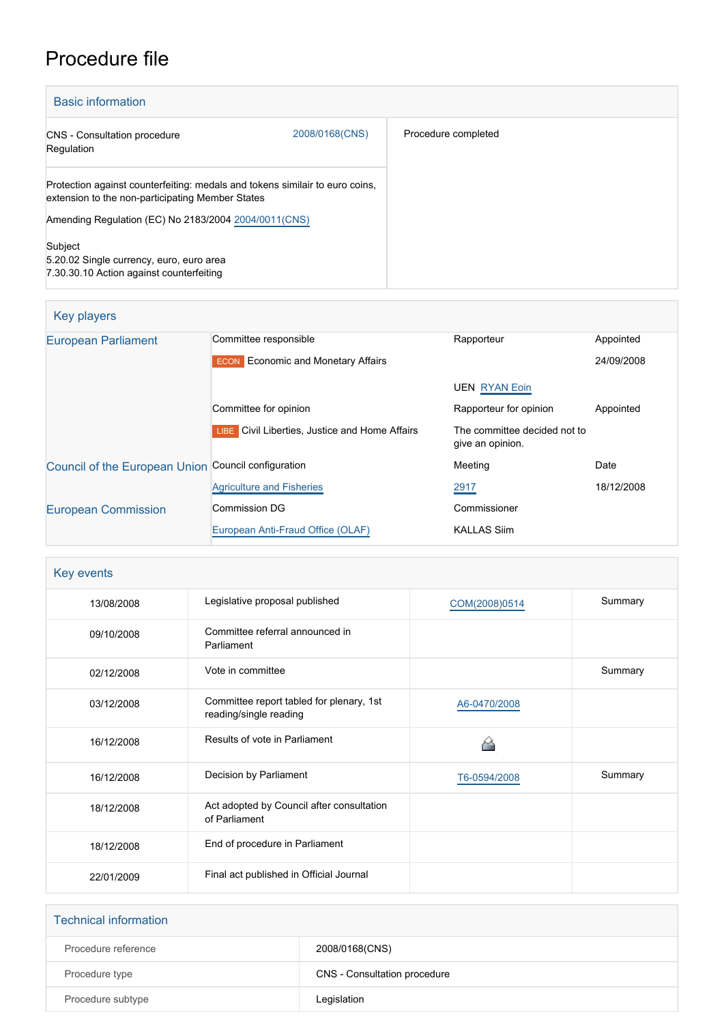# Procedure file

| <b>Basic information</b>                                                                                                         |                |                     |
|----------------------------------------------------------------------------------------------------------------------------------|----------------|---------------------|
| <b>CNS</b> - Consultation procedure<br>Regulation                                                                                | 2008/0168(CNS) | Procedure completed |
| Protection against counterfeiting: medals and tokens similair to euro coins,<br>extension to the non-participating Member States |                |                     |
| Amending Regulation (EC) No 2183/2004 2004/0011(CNS)                                                                             |                |                     |
| Subject<br>5.20.02 Single currency, euro, euro area<br>7.30.30.10 Action against counterfeiting                                  |                |                     |

| Key players                                         |                                                |                                                  |            |
|-----------------------------------------------------|------------------------------------------------|--------------------------------------------------|------------|
| <b>European Parliament</b>                          | Committee responsible                          | Rapporteur                                       | Appointed  |
|                                                     | <b>ECON</b> Economic and Monetary Affairs      |                                                  | 24/09/2008 |
|                                                     |                                                | <b>UEN RYAN Eoin</b>                             |            |
|                                                     | Committee for opinion                          | Rapporteur for opinion                           | Appointed  |
|                                                     | LIBE Civil Liberties, Justice and Home Affairs | The committee decided not to<br>give an opinion. |            |
| Council of the European Union Council configuration |                                                | Meeting                                          | Date       |
|                                                     | <b>Agriculture and Fisheries</b>               | 2917                                             | 18/12/2008 |
| <b>European Commission</b>                          | <b>Commission DG</b>                           | Commissioner                                     |            |
|                                                     | European Anti-Fraud Office (OLAF)              | <b>KALLAS Siim</b>                               |            |

| Key events |                                                                    |               |         |
|------------|--------------------------------------------------------------------|---------------|---------|
| 13/08/2008 | Legislative proposal published                                     | COM(2008)0514 | Summary |
| 09/10/2008 | Committee referral announced in<br>Parliament                      |               |         |
| 02/12/2008 | Vote in committee                                                  |               | Summary |
| 03/12/2008 | Committee report tabled for plenary, 1st<br>reading/single reading | A6-0470/2008  |         |
| 16/12/2008 | Results of vote in Parliament                                      |               |         |
| 16/12/2008 | Decision by Parliament                                             | T6-0594/2008  | Summary |
| 18/12/2008 | Act adopted by Council after consultation<br>of Parliament         |               |         |
| 18/12/2008 | End of procedure in Parliament                                     |               |         |
| 22/01/2009 | Final act published in Official Journal                            |               |         |

| <b>Technical information</b> |                              |
|------------------------------|------------------------------|
| Procedure reference          | 2008/0168(CNS)               |
| Procedure type               | CNS - Consultation procedure |
| Procedure subtype            | Legislation                  |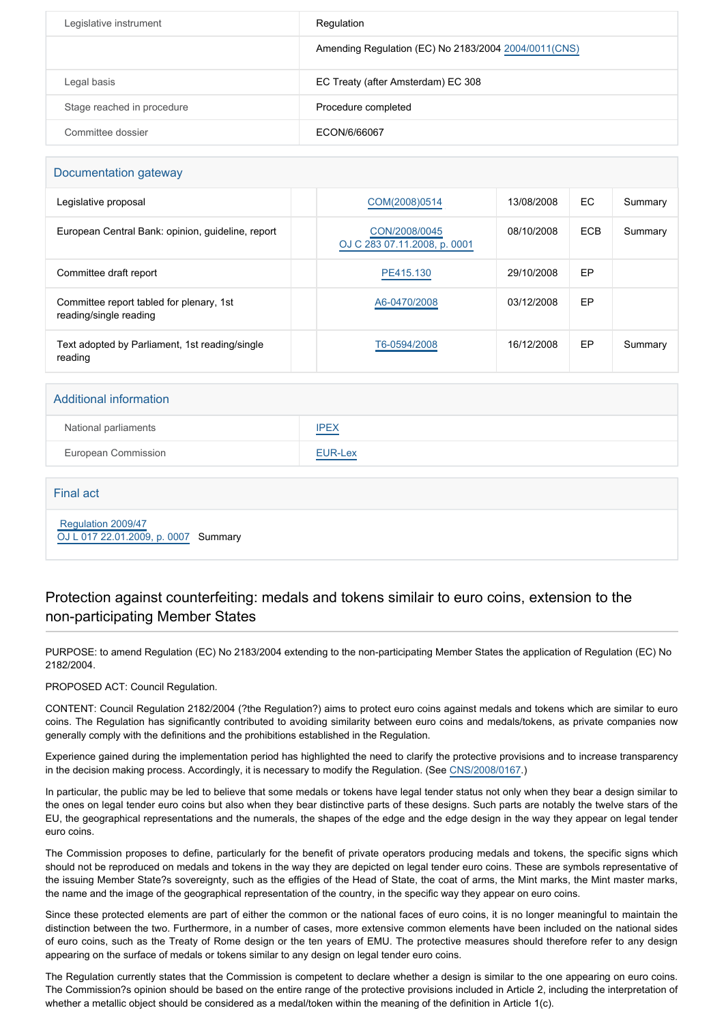| Legislative instrument     | Regulation                                            |
|----------------------------|-------------------------------------------------------|
|                            | Amending Regulation (EC) No 2183/2004 2004/0011 (CNS) |
| Legal basis                | EC Treaty (after Amsterdam) EC 308                    |
| Stage reached in procedure | Procedure completed                                   |
| Committee dossier          | ECON/6/66067                                          |

#### Documentation gateway

| Legislative proposal                                               | COM(2008)0514                                 | 13/08/2008 | EC.        | Summary |
|--------------------------------------------------------------------|-----------------------------------------------|------------|------------|---------|
| European Central Bank: opinion, guideline, report                  | CON/2008/0045<br>OJ C 283 07.11.2008, p. 0001 | 08/10/2008 | <b>ECB</b> | Summary |
| Committee draft report                                             | PE415.130                                     | 29/10/2008 | EP         |         |
| Committee report tabled for plenary, 1st<br>reading/single reading | A6-0470/2008                                  | 03/12/2008 | EP         |         |
| Text adopted by Parliament, 1st reading/single<br>reading          | T6-0594/2008                                  | 16/12/2008 | EP         | Summary |

| <b>Additional information</b> |             |
|-------------------------------|-------------|
| National parliaments          | <b>IPEX</b> |
| <b>European Commission</b>    | EUR-Lex     |
|                               |             |

# Final act  [Regulation 2009/47](https://eur-lex.europa.eu/smartapi/cgi/sga_doc?smartapi!celexplus!prod!CELEXnumdoc&lg=EN&numdoc=32009R0047) [OJ L 017 22.01.2009, p. 0007](https://eur-lex.europa.eu/legal-content/EN/TXT/?uri=OJ:L:2009:017:TOC) Summary

### Protection against counterfeiting: medals and tokens similair to euro coins, extension to the non-participating Member States

PURPOSE: to amend Regulation (EC) No 2183/2004 extending to the non-participating Member States the application of Regulation (EC) No 2182/2004.

PROPOSED ACT: Council Regulation.

CONTENT: Council Regulation 2182/2004 (?the Regulation?) aims to protect euro coins against medals and tokens which are similar to euro coins. The Regulation has significantly contributed to avoiding similarity between euro coins and medals/tokens, as private companies now generally comply with the definitions and the prohibitions established in the Regulation.

Experience gained during the implementation period has highlighted the need to clarify the protective provisions and to increase transparency in the decision making process. Accordingly, it is necessary to modify the Regulation. (See [CNS/2008/0167.](http://www.europarl.europa.eu/oeil/FindByProcnum.do?lang=en&procnum=CNS/2008/0167))

In particular, the public may be led to believe that some medals or tokens have legal tender status not only when they bear a design similar to the ones on legal tender euro coins but also when they bear distinctive parts of these designs. Such parts are notably the twelve stars of the EU, the geographical representations and the numerals, the shapes of the edge and the edge design in the way they appear on legal tender euro coins.

The Commission proposes to define, particularly for the benefit of private operators producing medals and tokens, the specific signs which should not be reproduced on medals and tokens in the way they are depicted on legal tender euro coins. These are symbols representative of the issuing Member State?s sovereignty, such as the effigies of the Head of State, the coat of arms, the Mint marks, the Mint master marks, the name and the image of the geographical representation of the country, in the specific way they appear on euro coins.

Since these protected elements are part of either the common or the national faces of euro coins, it is no longer meaningful to maintain the distinction between the two. Furthermore, in a number of cases, more extensive common elements have been included on the national sides of euro coins, such as the Treaty of Rome design or the ten years of EMU. The protective measures should therefore refer to any design appearing on the surface of medals or tokens similar to any design on legal tender euro coins.

The Regulation currently states that the Commission is competent to declare whether a design is similar to the one appearing on euro coins. The Commission?s opinion should be based on the entire range of the protective provisions included in Article 2, including the interpretation of whether a metallic object should be considered as a medal/token within the meaning of the definition in Article 1(c).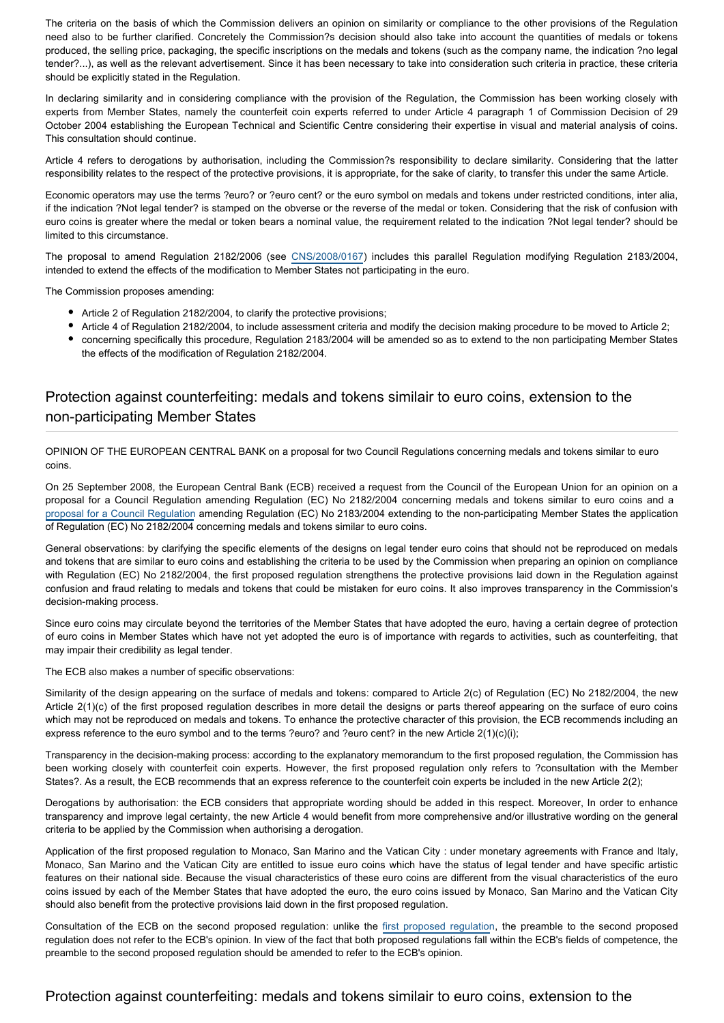The criteria on the basis of which the Commission delivers an opinion on similarity or compliance to the other provisions of the Regulation need also to be further clarified. Concretely the Commission?s decision should also take into account the quantities of medals or tokens produced, the selling price, packaging, the specific inscriptions on the medals and tokens (such as the company name, the indication ?no legal tender?...), as well as the relevant advertisement. Since it has been necessary to take into consideration such criteria in practice, these criteria should be explicitly stated in the Regulation.

In declaring similarity and in considering compliance with the provision of the Regulation, the Commission has been working closely with experts from Member States, namely the counterfeit coin experts referred to under Article 4 paragraph 1 of Commission Decision of 29 October 2004 establishing the European Technical and Scientific Centre considering their expertise in visual and material analysis of coins. This consultation should continue.

Article 4 refers to derogations by authorisation, including the Commission?s responsibility to declare similarity. Considering that the latter responsibility relates to the respect of the protective provisions, it is appropriate, for the sake of clarity, to transfer this under the same Article.

Economic operators may use the terms ?euro? or ?euro cent? or the euro symbol on medals and tokens under restricted conditions, inter alia, if the indication ?Not legal tender? is stamped on the obverse or the reverse of the medal or token. Considering that the risk of confusion with euro coins is greater where the medal or token bears a nominal value, the requirement related to the indication ?Not legal tender? should be limited to this circumstance.

The proposal to amend Regulation 2182/2006 (see [CNS/2008/0167](http://www.europarl.europa.eu/oeil/FindByProcnum.do?lang=en&procnum=CNS/2008/0167)) includes this parallel Regulation modifying Regulation 2183/2004, intended to extend the effects of the modification to Member States not participating in the euro.

The Commission proposes amending:

- Article 2 of Regulation 2182/2004, to clarify the protective provisions;
- Article 4 of Regulation 2182/2004, to include assessment criteria and modify the decision making procedure to be moved to Article 2;
- concerning specifically this procedure, Regulation 2183/2004 will be amended so as to extend to the non participating Member States the effects of the modification of Regulation 2182/2004.

# Protection against counterfeiting: medals and tokens similair to euro coins, extension to the non-participating Member States

OPINION OF THE EUROPEAN CENTRAL BANK on a proposal for two Council Regulations concerning medals and tokens similar to euro coins.

On 25 September 2008, the European Central Bank (ECB) received a request from the Council of the European Union for an opinion on a proposal for a Council Regulation amending Regulation (EC) No 2182/2004 concerning medals and tokens similar to euro coins and a [proposal for a Council Regulation](http://www.europarl.europa.eu/oeil/FindByProcnum.do?lang=en&procnum=CNS/2008/0168) amending Regulation (EC) No 2183/2004 extending to the non-participating Member States the application of Regulation (EC) No 2182/2004 concerning medals and tokens similar to euro coins.

General observations: by clarifying the specific elements of the designs on legal tender euro coins that should not be reproduced on medals and tokens that are similar to euro coins and establishing the criteria to be used by the Commission when preparing an opinion on compliance with Regulation (EC) No 2182/2004, the first proposed regulation strengthens the protective provisions laid down in the Regulation against confusion and fraud relating to medals and tokens that could be mistaken for euro coins. It also improves transparency in the Commission's decision-making process.

Since euro coins may circulate beyond the territories of the Member States that have adopted the euro, having a certain degree of protection of euro coins in Member States which have not yet adopted the euro is of importance with regards to activities, such as counterfeiting, that may impair their credibility as legal tender.

The ECB also makes a number of specific observations:

Similarity of the design appearing on the surface of medals and tokens: compared to Article 2(c) of Regulation (EC) No 2182/2004, the new Article 2(1)(c) of the first proposed regulation describes in more detail the designs or parts thereof appearing on the surface of euro coins which may not be reproduced on medals and tokens. To enhance the protective character of this provision, the ECB recommends including an express reference to the euro symbol and to the terms ?euro? and ?euro cent? in the new Article 2(1)(c)(i);

Transparency in the decision-making process: according to the explanatory memorandum to the first proposed regulation, the Commission has been working closely with counterfeit coin experts. However, the first proposed regulation only refers to ?consultation with the Member States?. As a result, the ECB recommends that an express reference to the counterfeit coin experts be included in the new Article 2(2);

Derogations by authorisation: the ECB considers that appropriate wording should be added in this respect. Moreover, In order to enhance transparency and improve legal certainty, the new Article 4 would benefit from more comprehensive and/or illustrative wording on the general criteria to be applied by the Commission when authorising a derogation.

Application of the first proposed regulation to Monaco, San Marino and the Vatican City : under monetary agreements with France and Italy, Monaco, San Marino and the Vatican City are entitled to issue euro coins which have the status of legal tender and have specific artistic features on their national side. Because the visual characteristics of these euro coins are different from the visual characteristics of the euro coins issued by each of the Member States that have adopted the euro, the euro coins issued by Monaco, San Marino and the Vatican City should also benefit from the protective provisions laid down in the first proposed regulation.

Consultation of the ECB on the second proposed regulation: unlike the [first proposed regulation](http://www.europarl.europa.eu/oeil/FindByProcnum.do?lang=en&procnum=CNS/2008/0168), the preamble to the second proposed regulation does not refer to the ECB's opinion. In view of the fact that both proposed regulations fall within the ECB's fields of competence, the preamble to the second proposed regulation should be amended to refer to the ECB's opinion.